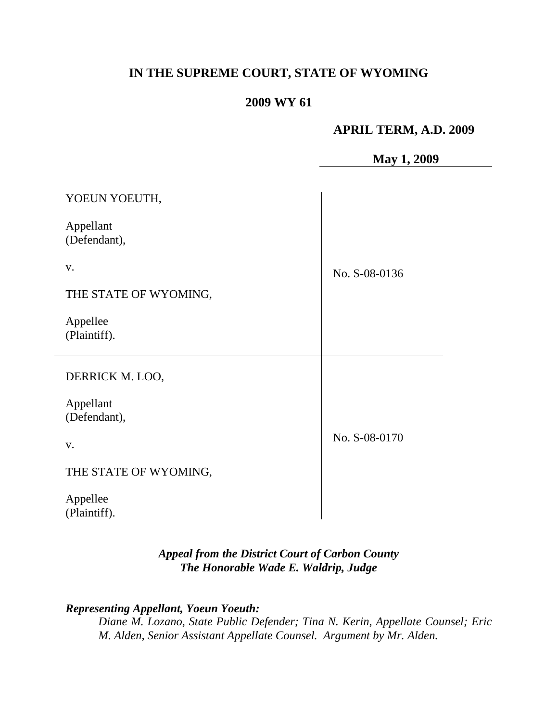# **IN THE SUPREME COURT, STATE OF WYOMING**

# **2009 WY 61**

### **APRIL TERM, A.D. 2009**

### **May 1, 2009**

| YOEUN YOEUTH,             |               |
|---------------------------|---------------|
| Appellant<br>(Defendant), |               |
| V.                        | No. S-08-0136 |
| THE STATE OF WYOMING,     |               |
| Appellee<br>(Plaintiff).  |               |
| DERRICK M. LOO,           |               |
| Appellant<br>(Defendant), |               |
| V.                        | No. S-08-0170 |
| THE STATE OF WYOMING,     |               |
| Appellee<br>(Plaintiff).  |               |

# *Appeal from the District Court of Carbon County The Honorable Wade E. Waldrip, Judge*

# *Representing Appellant, Yoeun Yoeuth:*

*Diane M. Lozano, State Public Defender; Tina N. Kerin, Appellate Counsel; Eric M. Alden, Senior Assistant Appellate Counsel. Argument by Mr. Alden.*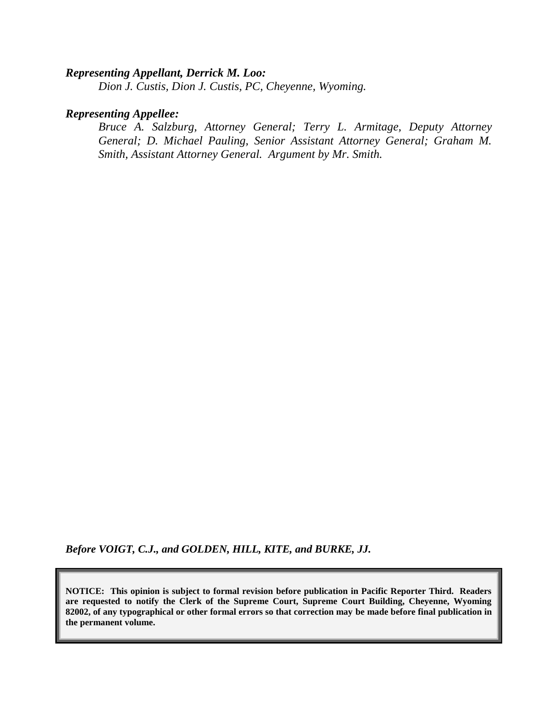#### *Representing Appellant, Derrick M. Loo:*

*Dion J. Custis, Dion J. Custis, PC, Cheyenne, Wyoming.*

#### *Representing Appellee:*

*Bruce A. Salzburg, Attorney General; Terry L. Armitage, Deputy Attorney General; D. Michael Pauling, Senior Assistant Attorney General; Graham M. Smith, Assistant Attorney General. Argument by Mr. Smith.*

*Before VOIGT, C.J., and GOLDEN, HILL, KITE, and BURKE, JJ.*

**NOTICE: This opinion is subject to formal revision before publication in Pacific Reporter Third. Readers are requested to notify the Clerk of the Supreme Court, Supreme Court Building, Cheyenne, Wyoming 82002, of any typographical or other formal errors so that correction may be made before final publication in the permanent volume.**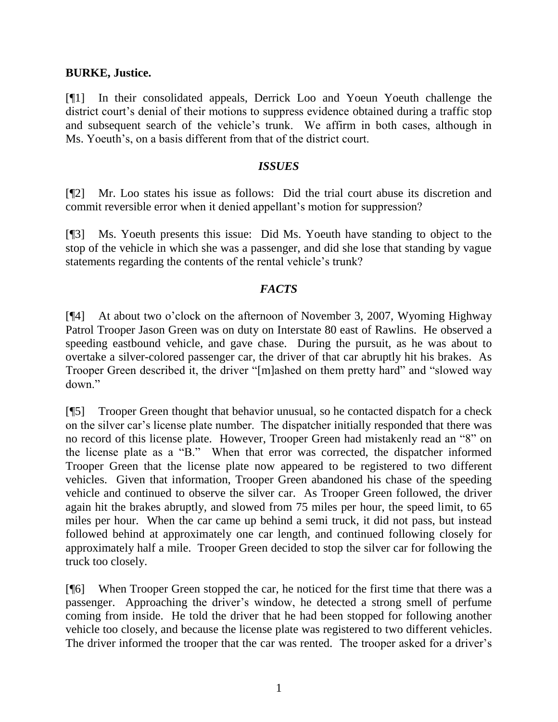#### **BURKE, Justice.**

[¶1] In their consolidated appeals, Derrick Loo and Yoeun Yoeuth challenge the district court's denial of their motions to suppress evidence obtained during a traffic stop and subsequent search of the vehicle"s trunk. We affirm in both cases, although in Ms. Yoeuth's, on a basis different from that of the district court.

#### *ISSUES*

[¶2] Mr. Loo states his issue as follows: Did the trial court abuse its discretion and commit reversible error when it denied appellant"s motion for suppression?

[¶3] Ms. Yoeuth presents this issue: Did Ms. Yoeuth have standing to object to the stop of the vehicle in which she was a passenger, and did she lose that standing by vague statements regarding the contents of the rental vehicle's trunk?

#### *FACTS*

[¶4] At about two o"clock on the afternoon of November 3, 2007, Wyoming Highway Patrol Trooper Jason Green was on duty on Interstate 80 east of Rawlins. He observed a speeding eastbound vehicle, and gave chase. During the pursuit, as he was about to overtake a silver-colored passenger car, the driver of that car abruptly hit his brakes. As Trooper Green described it, the driver "[m]ashed on them pretty hard" and "slowed way down."

[¶5] Trooper Green thought that behavior unusual, so he contacted dispatch for a check on the silver car"s license plate number. The dispatcher initially responded that there was no record of this license plate. However, Trooper Green had mistakenly read an "8" on the license plate as a "B." When that error was corrected, the dispatcher informed Trooper Green that the license plate now appeared to be registered to two different vehicles. Given that information, Trooper Green abandoned his chase of the speeding vehicle and continued to observe the silver car. As Trooper Green followed, the driver again hit the brakes abruptly, and slowed from 75 miles per hour, the speed limit, to 65 miles per hour. When the car came up behind a semi truck, it did not pass, but instead followed behind at approximately one car length, and continued following closely for approximately half a mile. Trooper Green decided to stop the silver car for following the truck too closely.

[¶6] When Trooper Green stopped the car, he noticed for the first time that there was a passenger. Approaching the driver"s window, he detected a strong smell of perfume coming from inside. He told the driver that he had been stopped for following another vehicle too closely, and because the license plate was registered to two different vehicles. The driver informed the trooper that the car was rented. The trooper asked for a driver's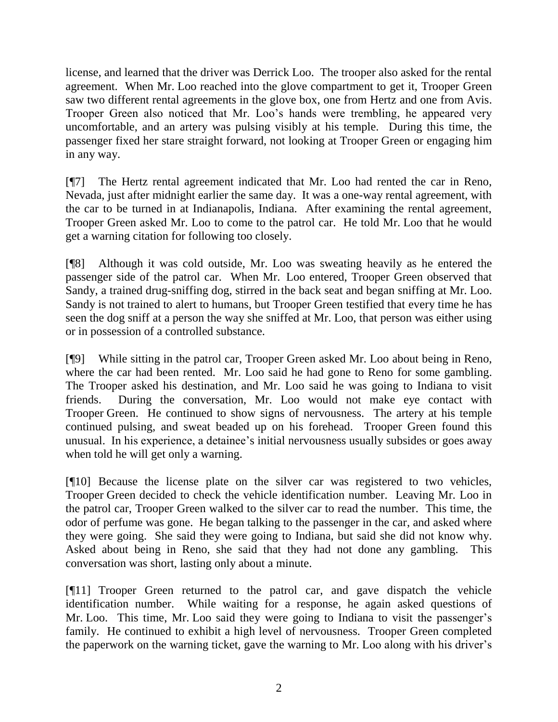license, and learned that the driver was Derrick Loo. The trooper also asked for the rental agreement. When Mr. Loo reached into the glove compartment to get it, Trooper Green saw two different rental agreements in the glove box, one from Hertz and one from Avis. Trooper Green also noticed that Mr. Loo"s hands were trembling, he appeared very uncomfortable, and an artery was pulsing visibly at his temple. During this time, the passenger fixed her stare straight forward, not looking at Trooper Green or engaging him in any way.

[¶7] The Hertz rental agreement indicated that Mr. Loo had rented the car in Reno, Nevada, just after midnight earlier the same day. It was a one-way rental agreement, with the car to be turned in at Indianapolis, Indiana. After examining the rental agreement, Trooper Green asked Mr. Loo to come to the patrol car. He told Mr. Loo that he would get a warning citation for following too closely.

[¶8] Although it was cold outside, Mr. Loo was sweating heavily as he entered the passenger side of the patrol car. When Mr. Loo entered, Trooper Green observed that Sandy, a trained drug-sniffing dog, stirred in the back seat and began sniffing at Mr. Loo. Sandy is not trained to alert to humans, but Trooper Green testified that every time he has seen the dog sniff at a person the way she sniffed at Mr. Loo, that person was either using or in possession of a controlled substance.

[¶9] While sitting in the patrol car, Trooper Green asked Mr. Loo about being in Reno, where the car had been rented. Mr. Loo said he had gone to Reno for some gambling. The Trooper asked his destination, and Mr. Loo said he was going to Indiana to visit friends. During the conversation, Mr. Loo would not make eye contact with Trooper Green. He continued to show signs of nervousness. The artery at his temple continued pulsing, and sweat beaded up on his forehead. Trooper Green found this unusual. In his experience, a detainee's initial nervousness usually subsides or goes away when told he will get only a warning.

[¶10] Because the license plate on the silver car was registered to two vehicles, Trooper Green decided to check the vehicle identification number. Leaving Mr. Loo in the patrol car, Trooper Green walked to the silver car to read the number. This time, the odor of perfume was gone. He began talking to the passenger in the car, and asked where they were going. She said they were going to Indiana, but said she did not know why. Asked about being in Reno, she said that they had not done any gambling. This conversation was short, lasting only about a minute.

[¶11] Trooper Green returned to the patrol car, and gave dispatch the vehicle identification number. While waiting for a response, he again asked questions of Mr. Loo. This time, Mr. Loo said they were going to Indiana to visit the passenger's family. He continued to exhibit a high level of nervousness. Trooper Green completed the paperwork on the warning ticket, gave the warning to Mr. Loo along with his driver's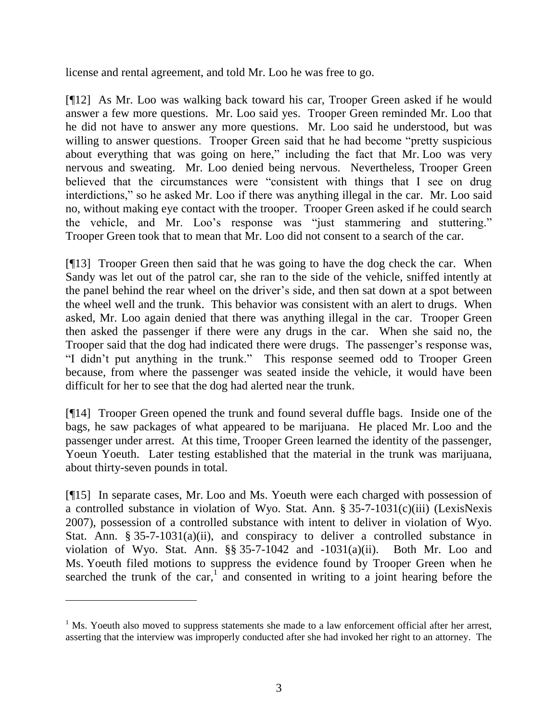license and rental agreement, and told Mr. Loo he was free to go.

[¶12] As Mr. Loo was walking back toward his car, Trooper Green asked if he would answer a few more questions. Mr. Loo said yes. Trooper Green reminded Mr. Loo that he did not have to answer any more questions. Mr. Loo said he understood, but was willing to answer questions. Trooper Green said that he had become "pretty suspicious" about everything that was going on here," including the fact that Mr. Loo was very nervous and sweating. Mr. Loo denied being nervous. Nevertheless, Trooper Green believed that the circumstances were "consistent with things that I see on drug interdictions," so he asked Mr. Loo if there was anything illegal in the car. Mr. Loo said no, without making eye contact with the trooper. Trooper Green asked if he could search the vehicle, and Mr. Loo"s response was "just stammering and stuttering." Trooper Green took that to mean that Mr. Loo did not consent to a search of the car.

[¶13] Trooper Green then said that he was going to have the dog check the car. When Sandy was let out of the patrol car, she ran to the side of the vehicle, sniffed intently at the panel behind the rear wheel on the driver"s side, and then sat down at a spot between the wheel well and the trunk. This behavior was consistent with an alert to drugs. When asked, Mr. Loo again denied that there was anything illegal in the car. Trooper Green then asked the passenger if there were any drugs in the car. When she said no, the Trooper said that the dog had indicated there were drugs. The passenger's response was, "I didn"t put anything in the trunk." This response seemed odd to Trooper Green because, from where the passenger was seated inside the vehicle, it would have been difficult for her to see that the dog had alerted near the trunk.

[¶14] Trooper Green opened the trunk and found several duffle bags. Inside one of the bags, he saw packages of what appeared to be marijuana. He placed Mr. Loo and the passenger under arrest. At this time, Trooper Green learned the identity of the passenger, Yoeun Yoeuth. Later testing established that the material in the trunk was marijuana, about thirty-seven pounds in total.

[¶15] In separate cases, Mr. Loo and Ms. Yoeuth were each charged with possession of a controlled substance in violation of Wyo. Stat. Ann. § 35-7-1031(c)(iii) (LexisNexis 2007), possession of a controlled substance with intent to deliver in violation of Wyo. Stat. Ann. § 35-7-1031(a)(ii), and conspiracy to deliver a controlled substance in violation of Wyo. Stat. Ann.  $\S$ § 35-7-1042 and -1031(a)(ii). Both Mr. Loo and Ms. Yoeuth filed motions to suppress the evidence found by Trooper Green when he searched the trunk of the car, $\frac{1}{2}$  and consented in writing to a joint hearing before the

 $<sup>1</sup>$  Ms. Yoeuth also moved to suppress statements she made to a law enforcement official after her arrest,</sup> asserting that the interview was improperly conducted after she had invoked her right to an attorney. The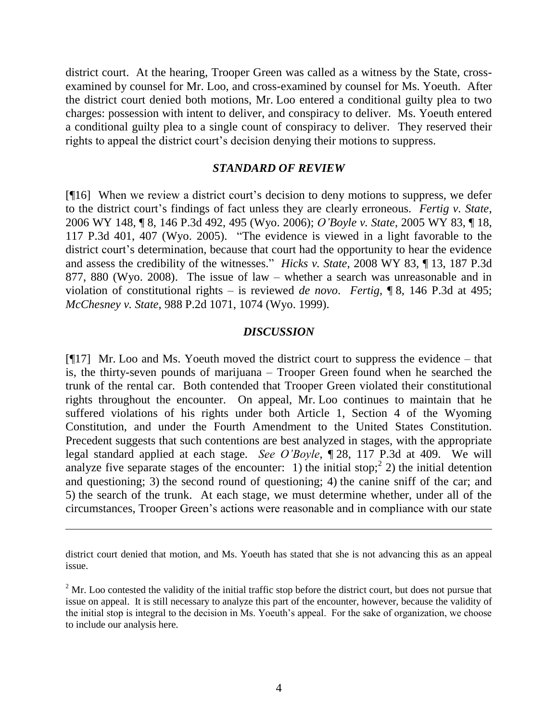district court. At the hearing, Trooper Green was called as a witness by the State, crossexamined by counsel for Mr. Loo, and cross-examined by counsel for Ms. Yoeuth. After the district court denied both motions, Mr. Loo entered a conditional guilty plea to two charges: possession with intent to deliver, and conspiracy to deliver. Ms. Yoeuth entered a conditional guilty plea to a single count of conspiracy to deliver. They reserved their rights to appeal the district court's decision denying their motions to suppress.

#### *STANDARD OF REVIEW*

[¶16] When we review a district court's decision to deny motions to suppress, we defer to the district court"s findings of fact unless they are clearly erroneous. *Fertig v. State*, 2006 WY 148, ¶ 8, 146 P.3d 492, 495 (Wyo. 2006); *O'Boyle v. State*, 2005 WY 83, ¶ 18, 117 P.3d 401, 407 (Wyo. 2005). "The evidence is viewed in a light favorable to the district court's determination, because that court had the opportunity to hear the evidence and assess the credibility of the witnesses." *Hicks v. State*, 2008 WY 83, ¶ 13, 187 P.3d 877, 880 (Wyo. 2008). The issue of law – whether a search was unreasonable and in violation of constitutional rights – is reviewed *de novo*. *Fertig*, ¶ 8, 146 P.3d at 495; *McChesney v. State*, 988 P.2d 1071, 1074 (Wyo. 1999).

#### *DISCUSSION*

[¶17] Mr. Loo and Ms. Yoeuth moved the district court to suppress the evidence – that is, the thirty-seven pounds of marijuana – Trooper Green found when he searched the trunk of the rental car. Both contended that Trooper Green violated their constitutional rights throughout the encounter. On appeal, Mr. Loo continues to maintain that he suffered violations of his rights under both Article 1, Section 4 of the Wyoming Constitution, and under the Fourth Amendment to the United States Constitution. Precedent suggests that such contentions are best analyzed in stages, with the appropriate legal standard applied at each stage. *See O'Boyle*, ¶ 28, 117 P.3d at 409. We will analyze five separate stages of the encounter: 1) the initial stop;<sup>2</sup> 2) the initial detention and questioning; 3) the second round of questioning; 4) the canine sniff of the car; and 5) the search of the trunk. At each stage, we must determine whether, under all of the circumstances, Trooper Green"s actions were reasonable and in compliance with our state

 $\overline{a}$ 

district court denied that motion, and Ms. Yoeuth has stated that she is not advancing this as an appeal issue.

 $2^2$  Mr. Loo contested the validity of the initial traffic stop before the district court, but does not pursue that issue on appeal. It is still necessary to analyze this part of the encounter, however, because the validity of the initial stop is integral to the decision in Ms. Yoeuth's appeal. For the sake of organization, we choose to include our analysis here.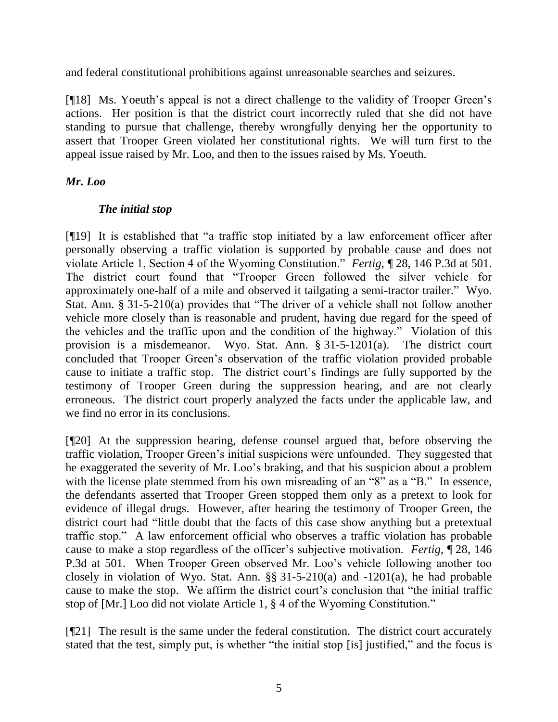and federal constitutional prohibitions against unreasonable searches and seizures.

[¶18] Ms. Yoeuth's appeal is not a direct challenge to the validity of Trooper Green's actions. Her position is that the district court incorrectly ruled that she did not have standing to pursue that challenge, thereby wrongfully denying her the opportunity to assert that Trooper Green violated her constitutional rights. We will turn first to the appeal issue raised by Mr. Loo, and then to the issues raised by Ms. Yoeuth.

# *Mr. Loo*

# *The initial stop*

[¶19] It is established that "a traffic stop initiated by a law enforcement officer after personally observing a traffic violation is supported by probable cause and does not violate Article 1, Section 4 of the Wyoming Constitution." *Fertig*, ¶ 28, 146 P.3d at 501. The district court found that "Trooper Green followed the silver vehicle for approximately one-half of a mile and observed it tailgating a semi-tractor trailer." Wyo. Stat. Ann. § 31-5-210(a) provides that "The driver of a vehicle shall not follow another vehicle more closely than is reasonable and prudent, having due regard for the speed of the vehicles and the traffic upon and the condition of the highway." Violation of this provision is a misdemeanor. Wyo. Stat. Ann. § 31-5-1201(a). The district court concluded that Trooper Green"s observation of the traffic violation provided probable cause to initiate a traffic stop. The district court"s findings are fully supported by the testimony of Trooper Green during the suppression hearing, and are not clearly erroneous. The district court properly analyzed the facts under the applicable law, and we find no error in its conclusions.

[¶20] At the suppression hearing, defense counsel argued that, before observing the traffic violation, Trooper Green"s initial suspicions were unfounded. They suggested that he exaggerated the severity of Mr. Loo"s braking, and that his suspicion about a problem with the license plate stemmed from his own misreading of an "8" as a "B." In essence, the defendants asserted that Trooper Green stopped them only as a pretext to look for evidence of illegal drugs. However, after hearing the testimony of Trooper Green, the district court had "little doubt that the facts of this case show anything but a pretextual traffic stop." A law enforcement official who observes a traffic violation has probable cause to make a stop regardless of the officer"s subjective motivation. *Fertig*, ¶ 28, 146 P.3d at 501. When Trooper Green observed Mr. Loo's vehicle following another too closely in violation of Wyo. Stat. Ann. §§ 31-5-210(a) and -1201(a), he had probable cause to make the stop. We affirm the district court's conclusion that "the initial traffic stop of [Mr.] Loo did not violate Article 1, § 4 of the Wyoming Constitution."

[¶21] The result is the same under the federal constitution. The district court accurately stated that the test, simply put, is whether "the initial stop [is] justified," and the focus is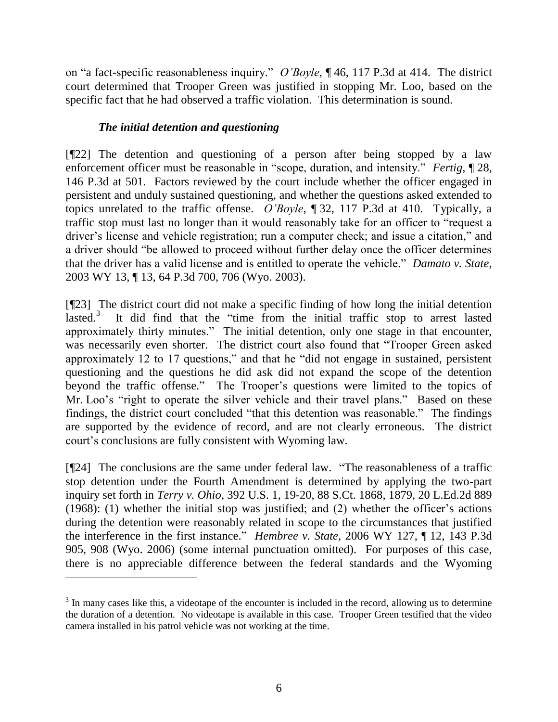on "a fact-specific reasonableness inquiry." *O'Boyle*, ¶ 46, 117 P.3d at 414. The district court determined that Trooper Green was justified in stopping Mr. Loo, based on the specific fact that he had observed a traffic violation. This determination is sound.

# *The initial detention and questioning*

 $\overline{a}$ 

[¶22] The detention and questioning of a person after being stopped by a law enforcement officer must be reasonable in "scope, duration, and intensity." *Fertig*, ¶ 28, 146 P.3d at 501. Factors reviewed by the court include whether the officer engaged in persistent and unduly sustained questioning, and whether the questions asked extended to topics unrelated to the traffic offense. *O'Boyle*, ¶ 32, 117 P.3d at 410. Typically, a traffic stop must last no longer than it would reasonably take for an officer to "request a driver"s license and vehicle registration; run a computer check; and issue a citation," and a driver should "be allowed to proceed without further delay once the officer determines that the driver has a valid license and is entitled to operate the vehicle." *Damato v. State*, 2003 WY 13, ¶ 13, 64 P.3d 700, 706 (Wyo. 2003).

[¶23] The district court did not make a specific finding of how long the initial detention lasted.<sup>3</sup> It did find that the "time from the initial traffic stop to arrest lasted approximately thirty minutes." The initial detention, only one stage in that encounter, was necessarily even shorter. The district court also found that "Trooper Green asked approximately 12 to 17 questions," and that he "did not engage in sustained, persistent questioning and the questions he did ask did not expand the scope of the detention beyond the traffic offense." The Trooper's questions were limited to the topics of Mr. Loo's "right to operate the silver vehicle and their travel plans." Based on these findings, the district court concluded "that this detention was reasonable." The findings are supported by the evidence of record, and are not clearly erroneous. The district court's conclusions are fully consistent with Wyoming law.

[¶24] The conclusions are the same under federal law. "The reasonableness of a traffic stop detention under the Fourth Amendment is determined by applying the two-part inquiry set forth in *Terry v. Ohio*, 392 U.S. 1, 19-20, 88 S.Ct. 1868, 1879, 20 L.Ed.2d 889 (1968): (1) whether the initial stop was justified; and (2) whether the officer"s actions during the detention were reasonably related in scope to the circumstances that justified the interference in the first instance." *Hembree v. State*, 2006 WY 127, ¶ 12, 143 P.3d 905, 908 (Wyo. 2006) (some internal punctuation omitted). For purposes of this case, there is no appreciable difference between the federal standards and the Wyoming

 $3$  In many cases like this, a videotape of the encounter is included in the record, allowing us to determine the duration of a detention. No videotape is available in this case. Trooper Green testified that the video camera installed in his patrol vehicle was not working at the time.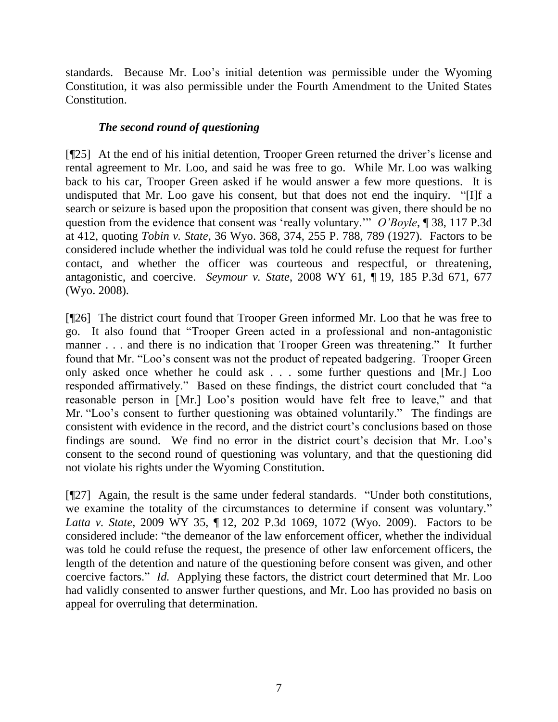standards. Because Mr. Loo"s initial detention was permissible under the Wyoming Constitution, it was also permissible under the Fourth Amendment to the United States Constitution.

# *The second round of questioning*

[¶25] At the end of his initial detention, Trooper Green returned the driver"s license and rental agreement to Mr. Loo, and said he was free to go. While Mr. Loo was walking back to his car, Trooper Green asked if he would answer a few more questions. It is undisputed that Mr. Loo gave his consent, but that does not end the inquiry. "[I]f a search or seizure is based upon the proposition that consent was given, there should be no question from the evidence that consent was "really voluntary."" *O'Boyle*, ¶ 38, 117 P.3d at 412, quoting *Tobin v. State*, 36 Wyo. 368, 374, 255 P. 788, 789 (1927). Factors to be considered include whether the individual was told he could refuse the request for further contact, and whether the officer was courteous and respectful, or threatening, antagonistic, and coercive. *Seymour v. State*, 2008 WY 61, ¶ 19, 185 P.3d 671, 677 (Wyo. 2008).

[¶26] The district court found that Trooper Green informed Mr. Loo that he was free to go. It also found that "Trooper Green acted in a professional and non-antagonistic manner . . . and there is no indication that Trooper Green was threatening." It further found that Mr. "Loo"s consent was not the product of repeated badgering. Trooper Green only asked once whether he could ask . . . some further questions and [Mr.] Loo responded affirmatively." Based on these findings, the district court concluded that "a reasonable person in [Mr.] Loo"s position would have felt free to leave," and that Mr. "Loo's consent to further questioning was obtained voluntarily." The findings are consistent with evidence in the record, and the district court"s conclusions based on those findings are sound. We find no error in the district court's decision that Mr. Loo's consent to the second round of questioning was voluntary, and that the questioning did not violate his rights under the Wyoming Constitution.

[¶27] Again, the result is the same under federal standards. "Under both constitutions, we examine the totality of the circumstances to determine if consent was voluntary." *Latta v. State*, 2009 WY 35, ¶ 12, 202 P.3d 1069, 1072 (Wyo. 2009). Factors to be considered include: "the demeanor of the law enforcement officer, whether the individual was told he could refuse the request, the presence of other law enforcement officers, the length of the detention and nature of the questioning before consent was given, and other coercive factors." *Id.* Applying these factors, the district court determined that Mr. Loo had validly consented to answer further questions, and Mr. Loo has provided no basis on appeal for overruling that determination.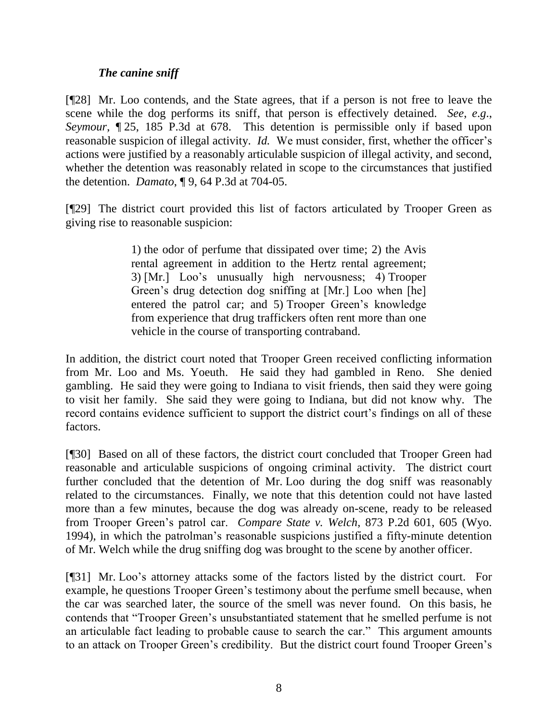# *The canine sniff*

[¶28] Mr. Loo contends, and the State agrees, that if a person is not free to leave the scene while the dog performs its sniff, that person is effectively detained. *See*, *e*.*g*., *Seymour*, ¶ 25, 185 P.3d at 678. This detention is permissible only if based upon reasonable suspicion of illegal activity. *Id.* We must consider, first, whether the officer's actions were justified by a reasonably articulable suspicion of illegal activity, and second, whether the detention was reasonably related in scope to the circumstances that justified the detention. *Damato*, ¶ 9, 64 P.3d at 704-05.

[¶29] The district court provided this list of factors articulated by Trooper Green as giving rise to reasonable suspicion:

> 1) the odor of perfume that dissipated over time; 2) the Avis rental agreement in addition to the Hertz rental agreement; 3) [Mr.] Loo"s unusually high nervousness; 4) Trooper Green's drug detection dog sniffing at [Mr.] Loo when [he] entered the patrol car; and 5) Trooper Green's knowledge from experience that drug traffickers often rent more than one vehicle in the course of transporting contraband.

In addition, the district court noted that Trooper Green received conflicting information from Mr. Loo and Ms. Yoeuth. He said they had gambled in Reno. She denied gambling. He said they were going to Indiana to visit friends, then said they were going to visit her family. She said they were going to Indiana, but did not know why. The record contains evidence sufficient to support the district court's findings on all of these factors.

[¶30] Based on all of these factors, the district court concluded that Trooper Green had reasonable and articulable suspicions of ongoing criminal activity. The district court further concluded that the detention of Mr. Loo during the dog sniff was reasonably related to the circumstances. Finally, we note that this detention could not have lasted more than a few minutes, because the dog was already on-scene, ready to be released from Trooper Green"s patrol car. *Compare State v. Welch*, 873 P.2d 601, 605 (Wyo. 1994), in which the patrolman"s reasonable suspicions justified a fifty-minute detention of Mr. Welch while the drug sniffing dog was brought to the scene by another officer.

[¶31] Mr. Loo"s attorney attacks some of the factors listed by the district court. For example, he questions Trooper Green's testimony about the perfume smell because, when the car was searched later, the source of the smell was never found. On this basis, he contends that "Trooper Green"s unsubstantiated statement that he smelled perfume is not an articulable fact leading to probable cause to search the car." This argument amounts to an attack on Trooper Green's credibility. But the district court found Trooper Green's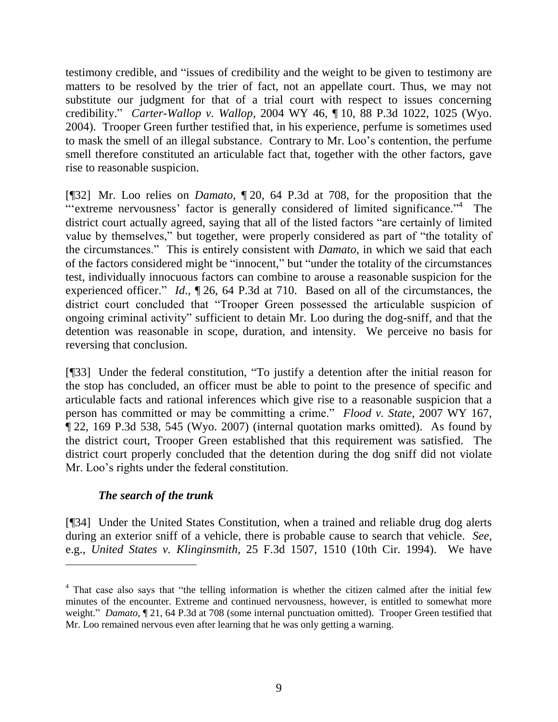testimony credible, and "issues of credibility and the weight to be given to testimony are matters to be resolved by the trier of fact, not an appellate court. Thus, we may not substitute our judgment for that of a trial court with respect to issues concerning credibility." *Carter-Wallop v. Wallop*, 2004 WY 46, ¶ 10, 88 P.3d 1022, 1025 (Wyo. 2004). Trooper Green further testified that, in his experience, perfume is sometimes used to mask the smell of an illegal substance. Contrary to Mr. Loo"s contention, the perfume smell therefore constituted an articulable fact that, together with the other factors, gave rise to reasonable suspicion.

[¶32] Mr. Loo relies on *Damato*, ¶ 20, 64 P.3d at 708, for the proposition that the "extreme nervousness' factor is generally considered of limited significance."<sup>4</sup> The district court actually agreed, saying that all of the listed factors "are certainly of limited value by themselves," but together, were properly considered as part of "the totality of the circumstances." This is entirely consistent with *Damato*, in which we said that each of the factors considered might be "innocent," but "under the totality of the circumstances test, individually innocuous factors can combine to arouse a reasonable suspicion for the experienced officer." *Id*., ¶ 26, 64 P.3d at 710. Based on all of the circumstances, the district court concluded that "Trooper Green possessed the articulable suspicion of ongoing criminal activity" sufficient to detain Mr. Loo during the dog-sniff, and that the detention was reasonable in scope, duration, and intensity. We perceive no basis for reversing that conclusion.

[¶33] Under the federal constitution, "To justify a detention after the initial reason for the stop has concluded, an officer must be able to point to the presence of specific and articulable facts and rational inferences which give rise to a reasonable suspicion that a person has committed or may be committing a crime." *Flood v. State*, 2007 WY 167, ¶ 22, 169 P.3d 538, 545 (Wyo. 2007) (internal quotation marks omitted). As found by the district court, Trooper Green established that this requirement was satisfied. The district court properly concluded that the detention during the dog sniff did not violate Mr. Loo"s rights under the federal constitution.

# *The search of the trunk*

[¶34] Under the United States Constitution, when a trained and reliable drug dog alerts during an exterior sniff of a vehicle, there is probable cause to search that vehicle. *See*, e.g., *United States v. Klinginsmith*, 25 F.3d 1507, 1510 (10th Cir. 1994). We have

<sup>&</sup>lt;sup>4</sup> That case also says that "the telling information is whether the citizen calmed after the initial few minutes of the encounter. Extreme and continued nervousness, however, is entitled to somewhat more weight." *Damato*, ¶ 21, 64 P.3d at 708 (some internal punctuation omitted). Trooper Green testified that Mr. Loo remained nervous even after learning that he was only getting a warning.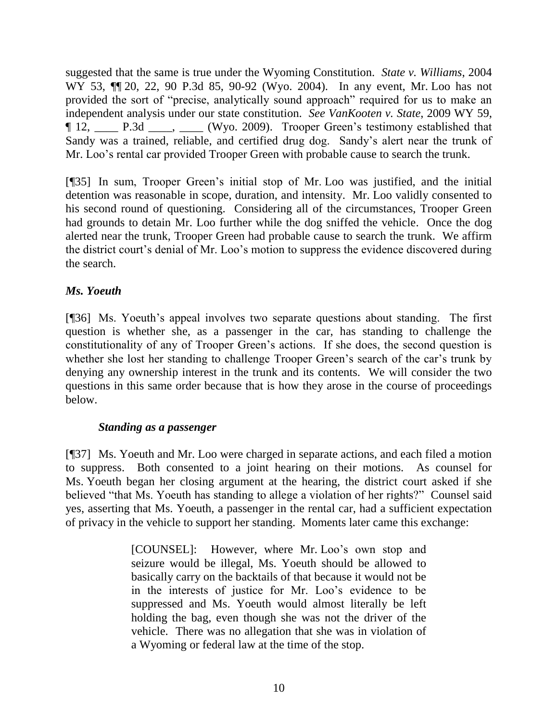suggested that the same is true under the Wyoming Constitution. *State v. Williams*, 2004 WY 53,  $\P$  20, 22, 90 P.3d 85, 90-92 (Wyo. 2004). In any event, Mr. Loo has not provided the sort of "precise, analytically sound approach" required for us to make an independent analysis under our state constitution. *See VanKooten v. State*, 2009 WY 59, ¶ 12, \_\_\_\_ P.3d \_\_\_\_, \_\_\_\_ (Wyo. 2009). Trooper Green"s testimony established that Sandy was a trained, reliable, and certified drug dog. Sandy"s alert near the trunk of Mr. Loo"s rental car provided Trooper Green with probable cause to search the trunk.

[¶35] In sum, Trooper Green"s initial stop of Mr. Loo was justified, and the initial detention was reasonable in scope, duration, and intensity. Mr. Loo validly consented to his second round of questioning. Considering all of the circumstances, Trooper Green had grounds to detain Mr. Loo further while the dog sniffed the vehicle. Once the dog alerted near the trunk, Trooper Green had probable cause to search the trunk. We affirm the district court's denial of Mr. Loo's motion to suppress the evidence discovered during the search.

# *Ms. Yoeuth*

[¶36] Ms. Yoeuth's appeal involves two separate questions about standing. The first question is whether she, as a passenger in the car, has standing to challenge the constitutionality of any of Trooper Green"s actions. If she does, the second question is whether she lost her standing to challenge Trooper Green's search of the car's trunk by denying any ownership interest in the trunk and its contents. We will consider the two questions in this same order because that is how they arose in the course of proceedings below.

# *Standing as a passenger*

[¶37] Ms. Yoeuth and Mr. Loo were charged in separate actions, and each filed a motion to suppress. Both consented to a joint hearing on their motions. As counsel for Ms. Yoeuth began her closing argument at the hearing, the district court asked if she believed "that Ms. Yoeuth has standing to allege a violation of her rights?" Counsel said yes, asserting that Ms. Yoeuth, a passenger in the rental car, had a sufficient expectation of privacy in the vehicle to support her standing. Moments later came this exchange:

> [COUNSEL]: However, where Mr. Loo's own stop and seizure would be illegal, Ms. Yoeuth should be allowed to basically carry on the backtails of that because it would not be in the interests of justice for Mr. Loo"s evidence to be suppressed and Ms. Yoeuth would almost literally be left holding the bag, even though she was not the driver of the vehicle. There was no allegation that she was in violation of a Wyoming or federal law at the time of the stop.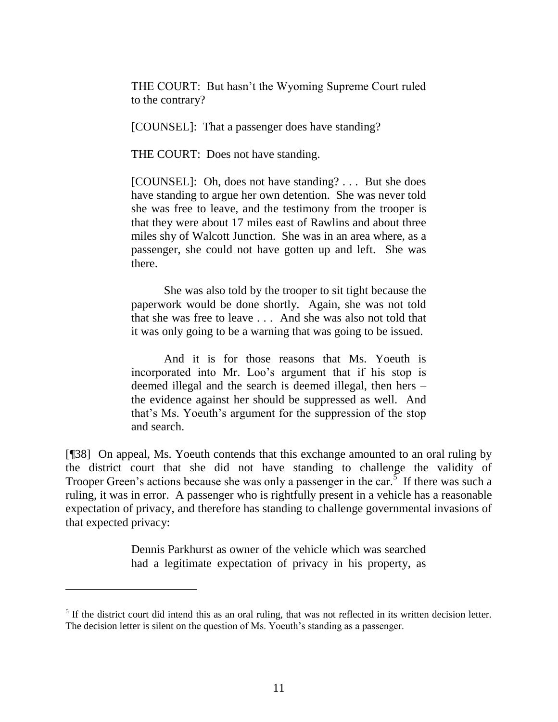THE COURT: But hasn"t the Wyoming Supreme Court ruled to the contrary?

[COUNSEL]: That a passenger does have standing?

THE COURT: Does not have standing.

[COUNSEL]: Oh, does not have standing? . . . But she does have standing to argue her own detention. She was never told she was free to leave, and the testimony from the trooper is that they were about 17 miles east of Rawlins and about three miles shy of Walcott Junction. She was in an area where, as a passenger, she could not have gotten up and left. She was there.

She was also told by the trooper to sit tight because the paperwork would be done shortly. Again, she was not told that she was free to leave . . . And she was also not told that it was only going to be a warning that was going to be issued.

And it is for those reasons that Ms. Yoeuth is incorporated into Mr. Loo"s argument that if his stop is deemed illegal and the search is deemed illegal, then hers – the evidence against her should be suppressed as well. And that"s Ms. Yoeuth"s argument for the suppression of the stop and search.

[¶38] On appeal, Ms. Yoeuth contends that this exchange amounted to an oral ruling by the district court that she did not have standing to challenge the validity of Trooper Green's actions because she was only a passenger in the car.<sup>5</sup> If there was such a ruling, it was in error. A passenger who is rightfully present in a vehicle has a reasonable expectation of privacy, and therefore has standing to challenge governmental invasions of that expected privacy:

> Dennis Parkhurst as owner of the vehicle which was searched had a legitimate expectation of privacy in his property, as

 $<sup>5</sup>$  If the district court did intend this as an oral ruling, that was not reflected in its written decision letter.</sup> The decision letter is silent on the question of Ms. Yoeuth's standing as a passenger.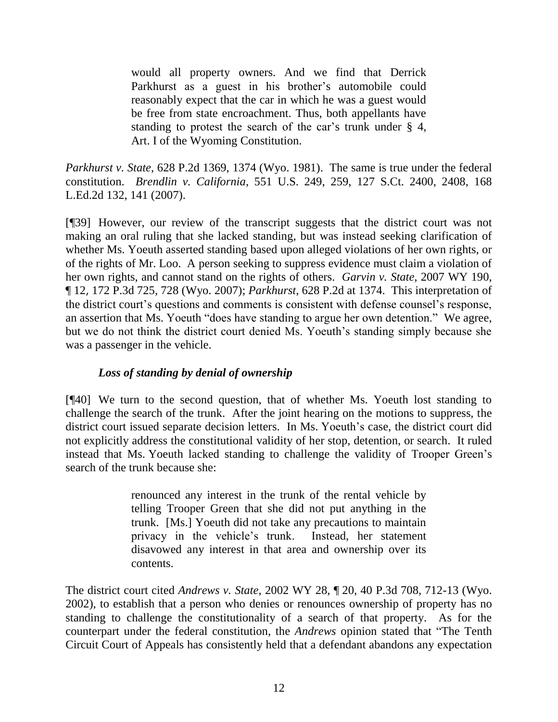would all property owners. And we find that Derrick Parkhurst as a guest in his brother's automobile could reasonably expect that the car in which he was a guest would be free from state encroachment. Thus, both appellants have standing to protest the search of the car's trunk under  $\S$  4, Art. I of the Wyoming Constitution.

*Parkhurst v. State*, 628 P.2d 1369, 1374 (Wyo. 1981). The same is true under the federal constitution. *Brendlin v. California*, 551 U.S. 249, 259, 127 S.Ct. 2400, 2408, 168 L.Ed.2d 132, 141 (2007).

[¶39] However, our review of the transcript suggests that the district court was not making an oral ruling that she lacked standing, but was instead seeking clarification of whether Ms. Yoeuth asserted standing based upon alleged violations of her own rights, or of the rights of Mr. Loo. A person seeking to suppress evidence must claim a violation of her own rights, and cannot stand on the rights of others. *Garvin v. State*, 2007 WY 190, ¶ 12, 172 P.3d 725, 728 (Wyo. 2007); *Parkhurst*, 628 P.2d at 1374. This interpretation of the district court's questions and comments is consistent with defense counsel's response, an assertion that Ms. Yoeuth "does have standing to argue her own detention." We agree, but we do not think the district court denied Ms. Yoeuth"s standing simply because she was a passenger in the vehicle.

# *Loss of standing by denial of ownership*

[¶40] We turn to the second question, that of whether Ms. Yoeuth lost standing to challenge the search of the trunk. After the joint hearing on the motions to suppress, the district court issued separate decision letters. In Ms. Yoeuth's case, the district court did not explicitly address the constitutional validity of her stop, detention, or search. It ruled instead that Ms. Yoeuth lacked standing to challenge the validity of Trooper Green"s search of the trunk because she:

> renounced any interest in the trunk of the rental vehicle by telling Trooper Green that she did not put anything in the trunk. [Ms.] Yoeuth did not take any precautions to maintain privacy in the vehicle"s trunk. Instead, her statement disavowed any interest in that area and ownership over its contents.

The district court cited *Andrews v. State*, 2002 WY 28, ¶ 20, 40 P.3d 708, 712-13 (Wyo. 2002), to establish that a person who denies or renounces ownership of property has no standing to challenge the constitutionality of a search of that property. As for the counterpart under the federal constitution, the *Andrews* opinion stated that "The Tenth Circuit Court of Appeals has consistently held that a defendant abandons any expectation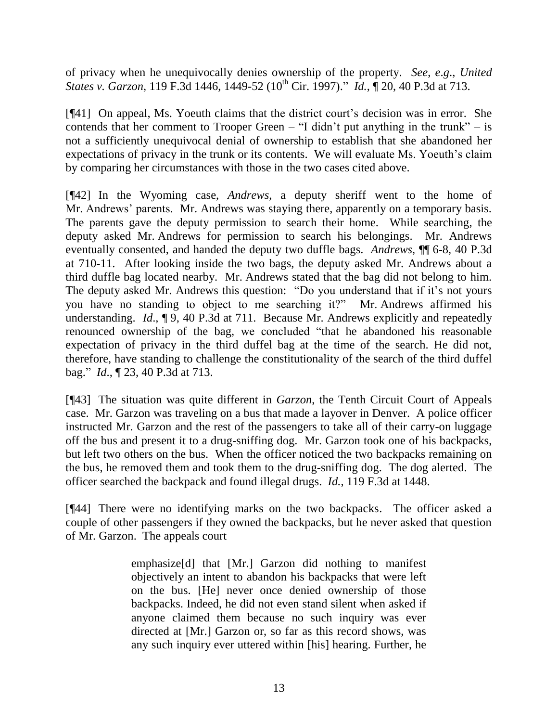of privacy when he unequivocally denies ownership of the property. *See*, *e*.*g*., *United States v. Garzon*, 119 F.3d 1446, 1449-52 (10<sup>th</sup> Cir. 1997)." *Id.*,  $\sqrt{20}$ , 40 P.3d at 713.

[¶41] On appeal, Ms. Yoeuth claims that the district court"s decision was in error. She contends that her comment to Trooper Green – "I didn't put anything in the trunk" – is not a sufficiently unequivocal denial of ownership to establish that she abandoned her expectations of privacy in the trunk or its contents. We will evaluate Ms. Yoeuth's claim by comparing her circumstances with those in the two cases cited above.

[¶42] In the Wyoming case, *Andrews*, a deputy sheriff went to the home of Mr. Andrews' parents. Mr. Andrews was staying there, apparently on a temporary basis. The parents gave the deputy permission to search their home. While searching, the deputy asked Mr. Andrews for permission to search his belongings. Mr. Andrews eventually consented, and handed the deputy two duffle bags. *Andrews*, ¶¶ 6-8, 40 P.3d at 710-11. After looking inside the two bags, the deputy asked Mr. Andrews about a third duffle bag located nearby. Mr. Andrews stated that the bag did not belong to him. The deputy asked Mr. Andrews this question: "Do you understand that if it's not yours you have no standing to object to me searching it?" Mr. Andrews affirmed his understanding. *Id.*, **[9, 40 P.3d at 711.** Because Mr. Andrews explicitly and repeatedly renounced ownership of the bag, we concluded "that he abandoned his reasonable expectation of privacy in the third duffel bag at the time of the search. He did not, therefore, have standing to challenge the constitutionality of the search of the third duffel bag." *Id*., ¶ 23, 40 P.3d at 713.

[¶43] The situation was quite different in *Garzon*, the Tenth Circuit Court of Appeals case. Mr. Garzon was traveling on a bus that made a layover in Denver. A police officer instructed Mr. Garzon and the rest of the passengers to take all of their carry-on luggage off the bus and present it to a drug-sniffing dog. Mr. Garzon took one of his backpacks, but left two others on the bus. When the officer noticed the two backpacks remaining on the bus, he removed them and took them to the drug-sniffing dog. The dog alerted. The officer searched the backpack and found illegal drugs. *Id.*, 119 F.3d at 1448.

[¶44] There were no identifying marks on the two backpacks. The officer asked a couple of other passengers if they owned the backpacks, but he never asked that question of Mr. Garzon. The appeals court

> emphasize[d] that [Mr.] Garzon did nothing to manifest objectively an intent to abandon his backpacks that were left on the bus. [He] never once denied ownership of those backpacks. Indeed, he did not even stand silent when asked if anyone claimed them because no such inquiry was ever directed at [Mr.] Garzon or, so far as this record shows, was any such inquiry ever uttered within [his] hearing. Further, he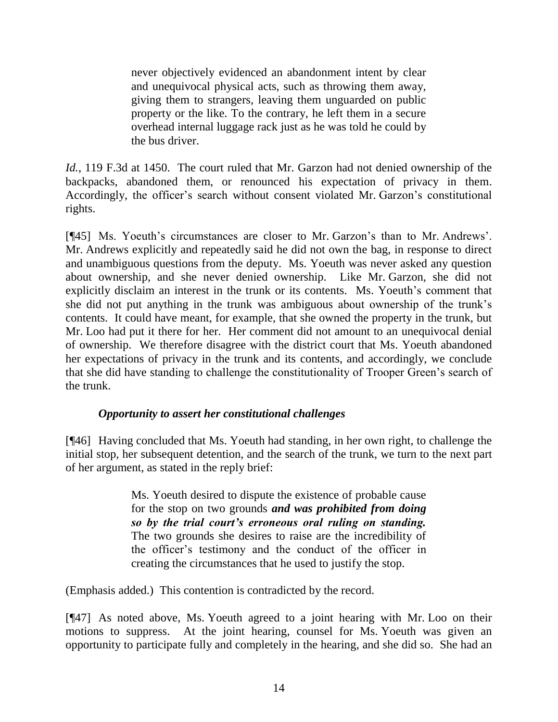never objectively evidenced an abandonment intent by clear and unequivocal physical acts, such as throwing them away, giving them to strangers, leaving them unguarded on public property or the like. To the contrary, he left them in a secure overhead internal luggage rack just as he was told he could by the bus driver.

*Id.*, 119 F.3d at 1450. The court ruled that Mr. Garzon had not denied ownership of the backpacks, abandoned them, or renounced his expectation of privacy in them. Accordingly, the officer's search without consent violated Mr. Garzon's constitutional rights.

[¶45] Ms. Yoeuth's circumstances are closer to Mr. Garzon's than to Mr. Andrews'. Mr. Andrews explicitly and repeatedly said he did not own the bag, in response to direct and unambiguous questions from the deputy. Ms. Yoeuth was never asked any question about ownership, and she never denied ownership. Like Mr. Garzon, she did not explicitly disclaim an interest in the trunk or its contents. Ms. Yoeuth's comment that she did not put anything in the trunk was ambiguous about ownership of the trunk"s contents. It could have meant, for example, that she owned the property in the trunk, but Mr. Loo had put it there for her. Her comment did not amount to an unequivocal denial of ownership. We therefore disagree with the district court that Ms. Yoeuth abandoned her expectations of privacy in the trunk and its contents, and accordingly, we conclude that she did have standing to challenge the constitutionality of Trooper Green"s search of the trunk.

# *Opportunity to assert her constitutional challenges*

[¶46] Having concluded that Ms. Yoeuth had standing, in her own right, to challenge the initial stop, her subsequent detention, and the search of the trunk, we turn to the next part of her argument, as stated in the reply brief:

> Ms. Yoeuth desired to dispute the existence of probable cause for the stop on two grounds *and was prohibited from doing so by the trial court's erroneous oral ruling on standing.* The two grounds she desires to raise are the incredibility of the officer"s testimony and the conduct of the officer in creating the circumstances that he used to justify the stop.

(Emphasis added.) This contention is contradicted by the record.

[¶47] As noted above, Ms. Yoeuth agreed to a joint hearing with Mr. Loo on their motions to suppress. At the joint hearing, counsel for Ms. Yoeuth was given an opportunity to participate fully and completely in the hearing, and she did so. She had an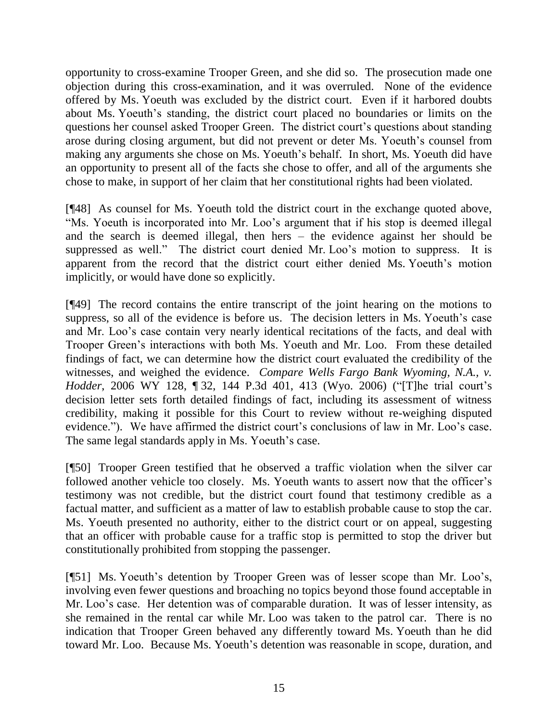opportunity to cross-examine Trooper Green, and she did so. The prosecution made one objection during this cross-examination, and it was overruled. None of the evidence offered by Ms. Yoeuth was excluded by the district court. Even if it harbored doubts about Ms. Yoeuth's standing, the district court placed no boundaries or limits on the questions her counsel asked Trooper Green. The district court's questions about standing arose during closing argument, but did not prevent or deter Ms. Yoeuth's counsel from making any arguments she chose on Ms. Yoeuth's behalf. In short, Ms. Yoeuth did have an opportunity to present all of the facts she chose to offer, and all of the arguments she chose to make, in support of her claim that her constitutional rights had been violated.

[¶48] As counsel for Ms. Yoeuth told the district court in the exchange quoted above, "Ms. Yoeuth is incorporated into Mr. Loo's argument that if his stop is deemed illegal and the search is deemed illegal, then hers – the evidence against her should be suppressed as well." The district court denied Mr. Loo's motion to suppress. It is apparent from the record that the district court either denied Ms. Yoeuth"s motion implicitly, or would have done so explicitly.

[¶49] The record contains the entire transcript of the joint hearing on the motions to suppress, so all of the evidence is before us. The decision letters in Ms. Yoeuth's case and Mr. Loo"s case contain very nearly identical recitations of the facts, and deal with Trooper Green"s interactions with both Ms. Yoeuth and Mr. Loo. From these detailed findings of fact, we can determine how the district court evaluated the credibility of the witnesses, and weighed the evidence. *Compare Wells Fargo Bank Wyoming, N.A., v. Hodder*, 2006 WY 128, 132, 144 P.3d 401, 413 (Wyo. 2006) ("The trial court's decision letter sets forth detailed findings of fact, including its assessment of witness credibility, making it possible for this Court to review without re-weighing disputed evidence."). We have affirmed the district court's conclusions of law in Mr. Loo's case. The same legal standards apply in Ms. Yoeuth's case.

[¶50] Trooper Green testified that he observed a traffic violation when the silver car followed another vehicle too closely. Ms. Yoeuth wants to assert now that the officer's testimony was not credible, but the district court found that testimony credible as a factual matter, and sufficient as a matter of law to establish probable cause to stop the car. Ms. Yoeuth presented no authority, either to the district court or on appeal, suggesting that an officer with probable cause for a traffic stop is permitted to stop the driver but constitutionally prohibited from stopping the passenger.

[¶51] Ms. Yoeuth"s detention by Trooper Green was of lesser scope than Mr. Loo"s, involving even fewer questions and broaching no topics beyond those found acceptable in Mr. Loo"s case. Her detention was of comparable duration. It was of lesser intensity, as she remained in the rental car while Mr. Loo was taken to the patrol car. There is no indication that Trooper Green behaved any differently toward Ms. Yoeuth than he did toward Mr. Loo. Because Ms. Yoeuth's detention was reasonable in scope, duration, and